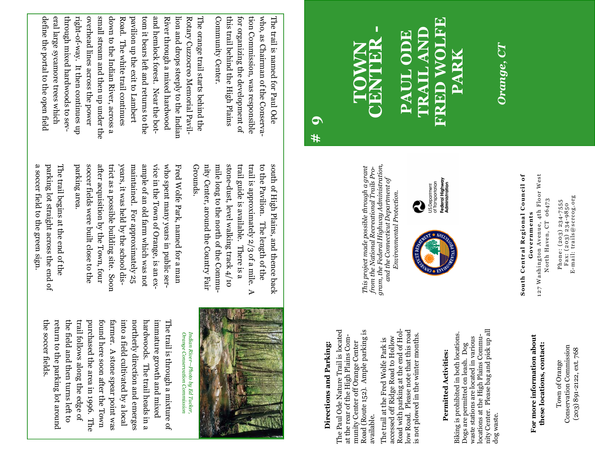Phone: (203) 234-7555<br>Fax: (203) 234-9850<br>E-mail: trails@scrcog.org E-mail: trails@scrcog.org Phone: (203) 234-7555 Fax: (203) 234-9850

North Haven, CT 06473 North Haven, CT 06473 Governments **Governments** 

**South Central Regional Council of**  South Central Regional Council of

127 Washington Avenue, 4th Floor West 127 Washington Avenue, 4th Floor West

For more information about **For more information about these locations, contact:**  these locations, contact:

Conservation Commission **Conservation Commission** (203) 891-2122, ext. 768 (203) 891-2122, ext. 768 Town of Orange Town of Orange

this trail behind the High Plains tion Commission, was responsible this trail behind the High Plains for organizing the development of tion Commission, was responsible who, as Chairman of the Conservawho, as Chairman of the Conserva-The trail is named for Paul Ode The trail is named for Paul Ode for organizing the development of

**TOWN** 

*This project made possible through a grant from the National Recreational Trails Program, the Federal Highway Administration, and the Connecticut Department of Environmental Protection.*

This project made possible through a grant<br>from the National Recreational Trails Pro-<br>gram, the Federal Highway Administration,

and the Connecticut Department of

Environmental Protection

æ

**# 9** 

**Directions and Parking:**  The Paul Ode Nature Trail is located at the rear of the High Plains Community Center off Orange Center Road (Route 152). Ample parking is

Directions and Parking:

The Paul Ode Nature Trail is located

at the rear of the High Plains Com-

munity Center off Orange Center

available.

Road (Route 152). Ample parking is

The trail at the Fred Wolfe Park is accessed off Ridge Road to Hollow Road with parking at the end of Hollow Road. Please note that this road is not plowed in the winter months.

accessed off Ridge Road to Hollow The trail at the Fred Wolfe Park is

Road with parking at the end of Hol-

low Road. Please note that this road

is not plowed in the winter months.

**Permitted Activities:**  Biking is prohibited in both locations. Dogs are permitted on leash. Dog waste stations are located in various locations at the High Plains Community Center. Please bag and pick up all waste stations are located in various<br>locations at the High Plains Community Center. Please bag and pick up all<br>dog waste.

Permitted Activities:

Biking is prohibited in both locations.

Dogs are permitted on leash. Dog

**CENTER -** 

**PAUL ODE** 

PAU

ECO

**TRAIL AND** 

**URAJILAND** 

**FRED WOLFE** 

Federal Highway<br>Administration US.Department<br>of Transportation

**ERED WOLFE** 

**PARK** 

*Orange, CT* 

Orange, CT

Community Center.

Community Center

through mixed hardwoods to sevright-of-way. It then continues up overhead lines across the power small stream and then up under the down to the Indian River, across a Road. The orange trail starts behind the define the portal to the open field eral large sycamore trees which through mixed hardwoods to sevpavilion up the exit to Lambert tom it bears left and returns to the tom it bears left and returns to the and hemlock forest. Near the bot-River through a mixed hardwood lion and drops steeply to the Indian lion and drops steeply to the Indian Rotary Cuzzocreo Memorial Pavil-The orange trail starts behind the define the portal to the open field eral large sycamore trees which right-of-way. It then continues up overhead lines across the power small stream and then up under the down to the Indian River, across a Road. The white trail continues pavilion up the exit to Lambert and hemlock forest. Near the bot-River through a mixed hardwood Rotary Cuzzocreo Memorial Pavil-The white trail continues

> stone-dust, level walking track 4/10 trail guide is available. There is a south of High Plains, and thence back Grounds. Grounds. nity Center, around the Country Fair nity Center, around the Country Fair mile long to the north of the Commumile long to the north of the Commustone-dust, level walking track 4/10 trail guide is available. There is a trail is approximately 2/3 of a mile. trail is approximately 2/3 of a mile. A to the Pavilion. The length of the to the Pavilion. The length of the south of High Plains, and thence back  $\triangleright$

who spent many years in public serparking area. parking area. soccer fields were built close to the soccer fields were built close to the after acquisition by the Town, four after acquisition by the Town, four trict as a possible building site. Soon trict as a possible building site. Soon years, it was held by the school disyears, it was held by the school dismaintained. For approximately 25 maintained. For approximately 25 ample of an old farm which was not ample of an old farm which was not vice in the Town of Orange, is an exvice in the Town of Orange, is an exwho spent many years in public ser-Fred Wolfe Park, named for a man Fred Wolfe Park, named for a man

a soccer field to the green sign. a soccer field to the green sign. parking lot straight across the end of parking lot straight across the end of The trail begins at the end of the The trail begins at the end of the



the soccer fields return to the parking lot around the field and then turns left to trail follows along the edge of purchased the area in 1996. The found here soon after the Town farmer. A stone spear point was into a field cultivated by a local northerly direction and emerges hardwoods. The trail heads in a immature growth and mixed The trail is through a mixture of the soccer fields. return to the parking lot around the field and then turns left to trail follows along the edge of purchased the area in 1996. The found here soon after the Town farmer. A stone spear point was into a field cultivated by a local northerly direction and emerges hardwoods. The trail heads in a immature growth and mixed The trail is through a mixture of